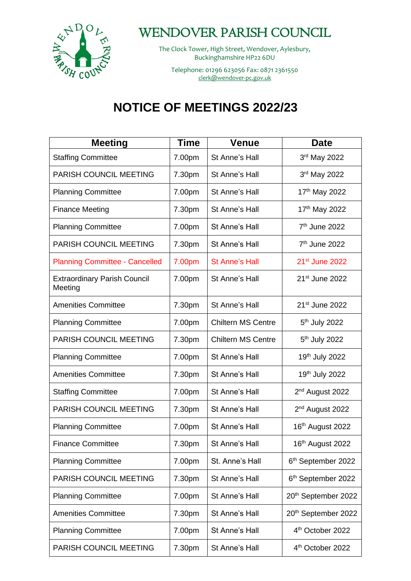

## WENDOVER PARISH COUNCIL

The Clock Tower, High Street, Wendover, Aylesbury, Buckinghamshire HP22 6DU

Telephone: 01296 623056 Fax: 0871 2361550 clerk@wendover-pc.gov.uk

## **NOTICE OF MEETINGS 2022/23**

| <b>Meeting</b>                                 | <b>Time</b> | <b>Venue</b>              | <b>Date</b>                    |
|------------------------------------------------|-------------|---------------------------|--------------------------------|
| <b>Staffing Committee</b>                      | 7.00pm      | St Anne's Hall            | 3rd May 2022                   |
| PARISH COUNCIL MEETING                         | 7.30pm      | St Anne's Hall            | 3rd May 2022                   |
| <b>Planning Committee</b>                      | 7.00pm      | St Anne's Hall            | 17th May 2022                  |
| <b>Finance Meeting</b>                         | 7.30pm      | St Anne's Hall            | 17 <sup>th</sup> May 2022      |
| <b>Planning Committee</b>                      | 7.00pm      | St Anne's Hall            | 7 <sup>th</sup> June 2022      |
| PARISH COUNCIL MEETING                         | 7.30pm      | St Anne's Hall            | 7 <sup>th</sup> June 2022      |
| <b>Planning Committee - Cancelled</b>          | 7.00pm      | <b>St Anne's Hall</b>     | 21 <sup>st</sup> June 2022     |
| <b>Extraordinary Parish Council</b><br>Meeting | 7.00pm      | St Anne's Hall            | 21 <sup>st</sup> June 2022     |
| <b>Amenities Committee</b>                     | 7.30pm      | St Anne's Hall            | 21 <sup>st</sup> June 2022     |
| <b>Planning Committee</b>                      | 7.00pm      | <b>Chiltern MS Centre</b> | 5 <sup>th</sup> July 2022      |
| PARISH COUNCIL MEETING                         | 7.30pm      | <b>Chiltern MS Centre</b> | 5 <sup>th</sup> July 2022      |
| <b>Planning Committee</b>                      | 7.00pm      | St Anne's Hall            | 19th July 2022                 |
| <b>Amenities Committee</b>                     | 7.30pm      | St Anne's Hall            | 19th July 2022                 |
| <b>Staffing Committee</b>                      | 7.00pm      | St Anne's Hall            | 2 <sup>nd</sup> August 2022    |
| <b>PARISH COUNCIL MEETING</b>                  | 7.30pm      | St Anne's Hall            | 2 <sup>nd</sup> August 2022    |
| <b>Planning Committee</b>                      | 7.00pm      | St Anne's Hall            | 16 <sup>th</sup> August 2022   |
| <b>Finance Committee</b>                       | 7.30pm      | St Anne's Hall            | 16 <sup>th</sup> August 2022   |
| <b>Planning Committee</b>                      | 7.00pm      | St. Anne's Hall           | 6 <sup>th</sup> September 2022 |
| PARISH COUNCIL MEETING                         | 7.30pm      | St Anne's Hall            | 6 <sup>th</sup> September 2022 |
| <b>Planning Committee</b>                      | 7.00pm      | St Anne's Hall            | 20th September 2022            |
| <b>Amenities Committee</b>                     | 7.30pm      | St Anne's Hall            | 20th September 2022            |
| <b>Planning Committee</b>                      | 7.00pm      | St Anne's Hall            | 4 <sup>th</sup> October 2022   |
| PARISH COUNCIL MEETING                         | 7.30pm      | St Anne's Hall            | 4 <sup>th</sup> October 2022   |